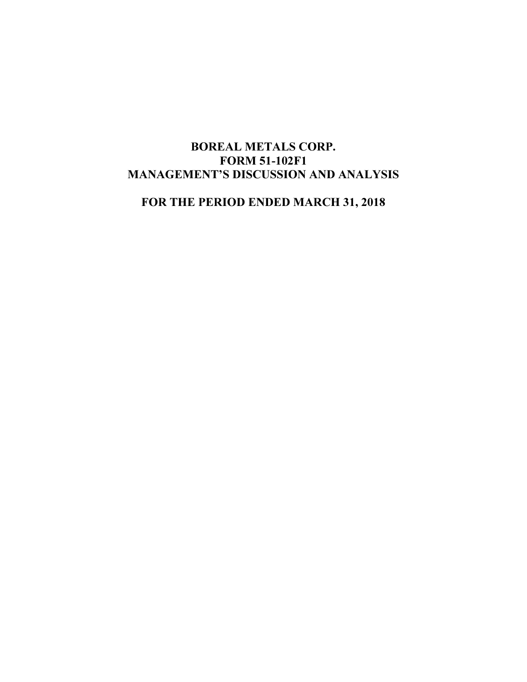# BOREAL METALS CORP. FORM 51-102F1 MANAGEMENT'S DISCUSSION AND ANALYSIS

FOR THE PERIOD ENDED MARCH 31, 2018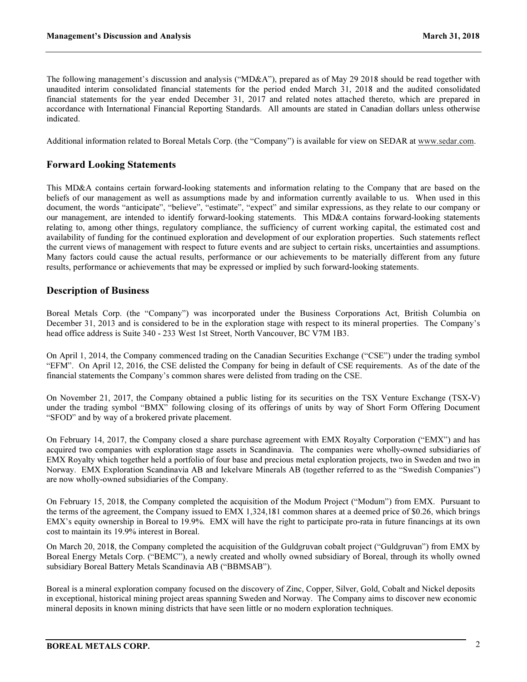The following management's discussion and analysis ("MD&A"), prepared as of May 29 2018 should be read together with unaudited interim consolidated financial statements for the period ended March 31, 2018 and the audited consolidated financial statements for the year ended December 31, 2017 and related notes attached thereto, which are prepared in accordance with International Financial Reporting Standards. All amounts are stated in Canadian dollars unless otherwise indicated.

Additional information related to Boreal Metals Corp. (the "Company") is available for view on SEDAR at www.sedar.com.

### Forward Looking Statements

This MD&A contains certain forward-looking statements and information relating to the Company that are based on the beliefs of our management as well as assumptions made by and information currently available to us. When used in this document, the words "anticipate", "believe", "estimate", "expect" and similar expressions, as they relate to our company or our management, are intended to identify forward-looking statements. This MD&A contains forward-looking statements relating to, among other things, regulatory compliance, the sufficiency of current working capital, the estimated cost and availability of funding for the continued exploration and development of our exploration properties. Such statements reflect the current views of management with respect to future events and are subject to certain risks, uncertainties and assumptions. Many factors could cause the actual results, performance or our achievements to be materially different from any future results, performance or achievements that may be expressed or implied by such forward-looking statements.

#### Description of Business

Boreal Metals Corp. (the "Company") was incorporated under the Business Corporations Act, British Columbia on December 31, 2013 and is considered to be in the exploration stage with respect to its mineral properties. The Company's head office address is Suite 340 - 233 West 1st Street, North Vancouver, BC V7M 1B3.

On April 1, 2014, the Company commenced trading on the Canadian Securities Exchange ("CSE") under the trading symbol "EFM". On April 12, 2016, the CSE delisted the Company for being in default of CSE requirements. As of the date of the financial statements the Company's common shares were delisted from trading on the CSE.

On November 21, 2017, the Company obtained a public listing for its securities on the TSX Venture Exchange (TSX-V) under the trading symbol "BMX" following closing of its offerings of units by way of Short Form Offering Document "SFOD" and by way of a brokered private placement.

On February 14, 2017, the Company closed a share purchase agreement with EMX Royalty Corporation ("EMX") and has acquired two companies with exploration stage assets in Scandinavia. The companies were wholly-owned subsidiaries of EMX Royalty which together held a portfolio of four base and precious metal exploration projects, two in Sweden and two in Norway. EMX Exploration Scandinavia AB and Iekelvare Minerals AB (together referred to as the "Swedish Companies") are now wholly-owned subsidiaries of the Company.

On February 15, 2018, the Company completed the acquisition of the Modum Project ("Modum") from EMX. Pursuant to the terms of the agreement, the Company issued to EMX 1,324,181 common shares at a deemed price of \$0.26, which brings EMX's equity ownership in Boreal to 19.9%. EMX will have the right to participate pro-rata in future financings at its own cost to maintain its 19.9% interest in Boreal.

On March 20, 2018, the Company completed the acquisition of the Guldgruvan cobalt project ("Guldgruvan") from EMX by Boreal Energy Metals Corp. ("BEMC"), a newly created and wholly owned subsidiary of Boreal, through its wholly owned subsidiary Boreal Battery Metals Scandinavia AB ("BBMSAB").

Boreal is a mineral exploration company focused on the discovery of Zinc, Copper, Silver, Gold, Cobalt and Nickel deposits in exceptional, historical mining project areas spanning Sweden and Norway. The Company aims to discover new economic mineral deposits in known mining districts that have seen little or no modern exploration techniques.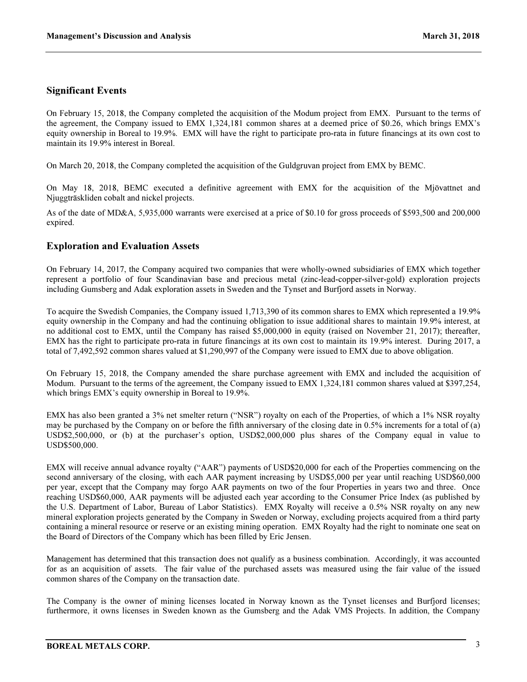### Significant Events

On February 15, 2018, the Company completed the acquisition of the Modum project from EMX. Pursuant to the terms of the agreement, the Company issued to EMX 1,324,181 common shares at a deemed price of \$0.26, which brings EMX's equity ownership in Boreal to 19.9%. EMX will have the right to participate pro-rata in future financings at its own cost to maintain its 19.9% interest in Boreal.

On March 20, 2018, the Company completed the acquisition of the Guldgruvan project from EMX by BEMC.

On May 18, 2018, BEMC executed a definitive agreement with EMX for the acquisition of the Mjövattnet and Njuggträskliden cobalt and nickel projects.

As of the date of MD&A, 5,935,000 warrants were exercised at a price of \$0.10 for gross proceeds of \$593,500 and 200,000 expired.

### Exploration and Evaluation Assets

On February 14, 2017, the Company acquired two companies that were wholly-owned subsidiaries of EMX which together represent a portfolio of four Scandinavian base and precious metal (zinc-lead-copper-silver-gold) exploration projects including Gumsberg and Adak exploration assets in Sweden and the Tynset and Burfjord assets in Norway.

To acquire the Swedish Companies, the Company issued 1,713,390 of its common shares to EMX which represented a 19.9% equity ownership in the Company and had the continuing obligation to issue additional shares to maintain 19.9% interest, at no additional cost to EMX, until the Company has raised \$5,000,000 in equity (raised on November 21, 2017); thereafter, EMX has the right to participate pro-rata in future financings at its own cost to maintain its 19.9% interest. During 2017, a total of 7,492,592 common shares valued at \$1,290,997 of the Company were issued to EMX due to above obligation.

On February 15, 2018, the Company amended the share purchase agreement with EMX and included the acquisition of Modum. Pursuant to the terms of the agreement, the Company issued to EMX 1,324,181 common shares valued at \$397,254, which brings EMX's equity ownership in Boreal to 19.9%.

EMX has also been granted a 3% net smelter return ("NSR") royalty on each of the Properties, of which a 1% NSR royalty may be purchased by the Company on or before the fifth anniversary of the closing date in 0.5% increments for a total of (a) USD\$2,500,000, or (b) at the purchaser's option, USD\$2,000,000 plus shares of the Company equal in value to USD\$500,000.

EMX will receive annual advance royalty ("AAR") payments of USD\$20,000 for each of the Properties commencing on the second anniversary of the closing, with each AAR payment increasing by USD\$5,000 per year until reaching USD\$60,000 per year, except that the Company may forgo AAR payments on two of the four Properties in years two and three. Once reaching USD\$60,000, AAR payments will be adjusted each year according to the Consumer Price Index (as published by the U.S. Department of Labor, Bureau of Labor Statistics). EMX Royalty will receive a 0.5% NSR royalty on any new mineral exploration projects generated by the Company in Sweden or Norway, excluding projects acquired from a third party containing a mineral resource or reserve or an existing mining operation. EMX Royalty had the right to nominate one seat on the Board of Directors of the Company which has been filled by Eric Jensen.

Management has determined that this transaction does not qualify as a business combination. Accordingly, it was accounted for as an acquisition of assets. The fair value of the purchased assets was measured using the fair value of the issued common shares of the Company on the transaction date.

The Company is the owner of mining licenses located in Norway known as the Tynset licenses and Burfjord licenses; furthermore, it owns licenses in Sweden known as the Gumsberg and the Adak VMS Projects. In addition, the Company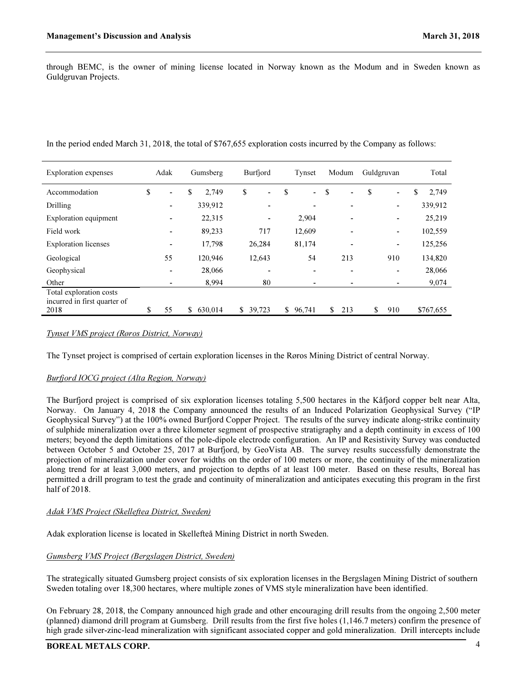through BEMC, is the owner of mining license located in Norway known as the Modum and in Sweden known as Guldgruvan Projects.

In the period ended March 31, 2018, the total of \$767,655 exploration costs incurred by the Company as follows:

| <b>Exploration</b> expenses  | Adak                     |    | Gumsberg | Burfjord     |                          | Tynset               | Modum     | Guldgruvan |                          | Total       |
|------------------------------|--------------------------|----|----------|--------------|--------------------------|----------------------|-----------|------------|--------------------------|-------------|
| Accommodation                | \$<br>$\blacksquare$     | \$ | 2,749    | \$           | ۰                        | \$<br>$\blacksquare$ | \$<br>٠   | \$         | ٠                        | \$<br>2,749 |
| Drilling                     | $\overline{\phantom{a}}$ |    | 339,912  |              | $\overline{\phantom{0}}$ | ٠                    | ٠         |            | $\overline{\phantom{0}}$ | 339,912     |
| Exploration equipment        | ۰                        |    | 22,315   |              | ٠                        | 2,904                | ۰         |            | ٠                        | 25,219      |
| Field work                   | -                        |    | 89,233   | 717          |                          | 12,609               | ٠         |            | ٠                        | 102,559     |
| <b>Exploration</b> licenses  | $\blacksquare$           |    | 17,798   | 26,284       |                          | 81,174               | ۰         |            | ۰                        | 125,256     |
| Geological                   | 55                       |    | 120,946  | 12,643       |                          | 54                   | 213       |            | 910                      | 134,820     |
| Geophysical                  | $\overline{\phantom{a}}$ |    | 28,066   |              | $\overline{\phantom{0}}$ | ٠                    | ٠         |            | ۰                        | 28,066      |
| Other                        | $\blacksquare$           |    | 8,994    |              | 80                       | ۰                    | ۰         |            |                          | 9,074       |
| Total exploration costs      |                          |    |          |              |                          |                      |           |            |                          |             |
| incurred in first quarter of |                          |    |          |              |                          |                      |           |            |                          |             |
| 2018                         | \$<br>55                 | S. | 630.014  | \$<br>39,723 |                          | \$<br>96,741         | \$<br>213 | \$         | 910                      | \$767,655   |

#### Tynset VMS project (Røros District, Norway)

The Tynset project is comprised of certain exploration licenses in the Røros Mining District of central Norway.

#### Burfjord IOCG project (Alta Region, Norway)

The Burfjord project is comprised of six exploration licenses totaling 5,500 hectares in the Kåfjord copper belt near Alta, Norway. On January 4, 2018 the Company announced the results of an Induced Polarization Geophysical Survey ("IP Geophysical Survey") at the 100% owned Burfjord Copper Project. The results of the survey indicate along-strike continuity of sulphide mineralization over a three kilometer segment of prospective stratigraphy and a depth continuity in excess of 100 meters; beyond the depth limitations of the pole-dipole electrode configuration. An IP and Resistivity Survey was conducted between October 5 and October 25, 2017 at Burfjord, by GeoVista AB. The survey results successfully demonstrate the projection of mineralization under cover for widths on the order of 100 meters or more, the continuity of the mineralization along trend for at least 3,000 meters, and projection to depths of at least 100 meter. Based on these results, Boreal has permitted a drill program to test the grade and continuity of mineralization and anticipates executing this program in the first half of 2018.

#### Adak VMS Project (Skelleftea District, Sweden)

Adak exploration license is located in Skellefteå Mining District in north Sweden.

#### Gumsberg VMS Project (Bergslagen District, Sweden)

The strategically situated Gumsberg project consists of six exploration licenses in the Bergslagen Mining District of southern Sweden totaling over 18,300 hectares, where multiple zones of VMS style mineralization have been identified.

On February 28, 2018, the Company announced high grade and other encouraging drill results from the ongoing 2,500 meter (planned) diamond drill program at Gumsberg. Drill results from the first five holes (1,146.7 meters) confirm the presence of high grade silver-zinc-lead mineralization with significant associated copper and gold mineralization. Drill intercepts include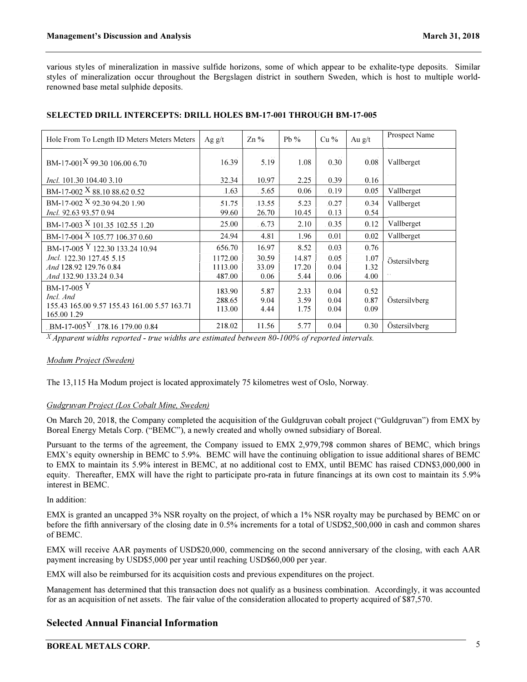various styles of mineralization in massive sulfide horizons, some of which appear to be exhalite-type deposits. Similar styles of mineralization occur throughout the Bergslagen district in southern Sweden, which is host to multiple worldrenowned base metal sulphide deposits.

| Hole From To Length ID Meters Meters Meters                              | Ag $g/t$         | $\text{Zn}\%$  | Pb $%$        | $Cu\%$        | Au $g/t$      | Prospect Name |
|--------------------------------------------------------------------------|------------------|----------------|---------------|---------------|---------------|---------------|
| BM-17-001 <sup>X</sup> 99.30 106.00 6.70                                 | 16.39            | 5.19           | 1.08          | 0.30          | 0.08          | Vallberget    |
| <i>Incl.</i> 101.30 104.40 3.10                                          | 32.34            | 10.97          | 2.25          | 0.39          | 0.16          |               |
| BM-17-002 X 88.10 88.62 0.52                                             | .1.63            | .5.65          | 0.06          | .0.19         | 0.05          | Vallberget    |
| BM-17-002 $X$ 92.30 94.20 1.90<br>Incl. 92.63 93.57 0.94                 | 51.75<br>99.60   | 13.55<br>26.70 | 5.23<br>10.45 | .0.27<br>0.13 | .0.34<br>0.54 | Vallberget    |
| BM-17-003 X 101.35 102.55 1.20                                           | 25.00            | 6.73           | 2.10          | .0.35         | 0.12          | Vallberget    |
| BM-17-004 X 105.77 106.37 0.60                                           | 24.94            | 4.81           | 1.96          | 0.01          | 0.02          | Vallberget    |
| BM-17-005 Y 122.30 133.24 10.94                                          | 656.70           | 16.97          | 8.52          | 0.03          | 0.76          |               |
| <i>Incl.</i> 122.30 127.45 5.15                                          | 1172.00          | 30.59          | 14.87         | 0.05          | 1.07          | Östersilvberg |
| And 128.92 129.76 0.84                                                   | 1113.00          | 33.09          | 17.20         | 0.04          | 1.32          |               |
| And 132.90 133.24 0.34                                                   | 487.00           | 0.06           | 5.44          | 0.06          | 4.00          |               |
| $BM-17-005$ <sup>Y</sup>                                                 | 183.90           | 5.87           | 2.33          | 0.04          | 0.52          |               |
| Incl. And<br>155.43 165.00 9.57 155.43 161.00 5.57 163.71<br>165.00 1.29 | 288.65<br>113.00 | 9.04<br>4.44   | 3.59<br>1.75  | 0.04<br>0.04  | 0.87<br>0.09  | Östersilvberg |
| BM-17-005 <sup>Y</sup> 178.16 179.00 0.84                                | 218.02           | 11.56          | 5.77          | 0.04          | 0.30          | Östersilvberg |

#### SELECTED DRILL INTERCEPTS: DRILL HOLES BM-17-001 THROUGH BM-17-005

 $X$ Apparent widths reported - true widths are estimated between 80-100% of reported intervals.

#### Modum Project (Sweden)

The 13,115 Ha Modum project is located approximately 75 kilometres west of Oslo, Norway.

#### Gudgruvan Project (Los Cobalt Mine, Sweden)

On March 20, 2018, the Company completed the acquisition of the Guldgruvan cobalt project ("Guldgruvan") from EMX by Boreal Energy Metals Corp. ("BEMC"), a newly created and wholly owned subsidiary of Boreal.

Pursuant to the terms of the agreement, the Company issued to EMX 2,979,798 common shares of BEMC, which brings EMX's equity ownership in BEMC to 5.9%. BEMC will have the continuing obligation to issue additional shares of BEMC to EMX to maintain its 5.9% interest in BEMC, at no additional cost to EMX, until BEMC has raised CDN\$3,000,000 in equity. Thereafter, EMX will have the right to participate pro-rata in future financings at its own cost to maintain its 5.9% interest in BEMC.

In addition:

EMX is granted an uncapped 3% NSR royalty on the project, of which a 1% NSR royalty may be purchased by BEMC on or before the fifth anniversary of the closing date in 0.5% increments for a total of USD\$2,500,000 in cash and common shares of BEMC.

EMX will receive AAR payments of USD\$20,000, commencing on the second anniversary of the closing, with each AAR payment increasing by USD\$5,000 per year until reaching USD\$60,000 per year.

EMX will also be reimbursed for its acquisition costs and previous expenditures on the project.

Management has determined that this transaction does not qualify as a business combination. Accordingly, it was accounted for as an acquisition of net assets. The fair value of the consideration allocated to property acquired of \$87,570.

# Selected Annual Financial Information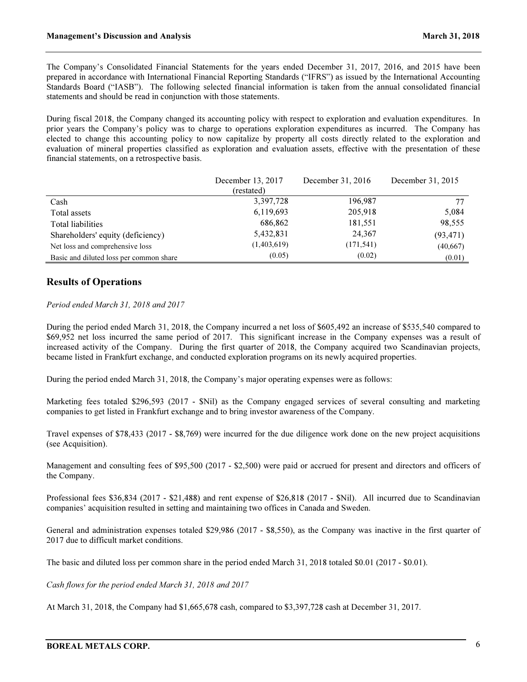The Company's Consolidated Financial Statements for the years ended December 31, 2017, 2016, and 2015 have been prepared in accordance with International Financial Reporting Standards ("IFRS") as issued by the International Accounting Standards Board ("IASB"). The following selected financial information is taken from the annual consolidated financial statements and should be read in conjunction with those statements.

During fiscal 2018, the Company changed its accounting policy with respect to exploration and evaluation expenditures. In prior years the Company's policy was to charge to operations exploration expenditures as incurred. The Company has elected to change this accounting policy to now capitalize by property all costs directly related to the exploration and evaluation of mineral properties classified as exploration and evaluation assets, effective with the presentation of these financial statements, on a retrospective basis.

|                                         | December 13, 2017 | December 31, 2016 | December 31, 2015 |
|-----------------------------------------|-------------------|-------------------|-------------------|
|                                         | (restated)        |                   |                   |
| Cash                                    | 3,397,728         | 196,987           | 77                |
| Total assets                            | 6,119,693         | 205,918           | 5,084             |
| <b>Total liabilities</b>                | 686,862           | 181,551           | 98,555            |
| Shareholders' equity (deficiency)       | 5,432,831         | 24,367            | (93, 471)         |
| Net loss and comprehensive loss         | (1,403,619)       | (171, 541)        | (40,667)          |
| Basic and diluted loss per common share | (0.05)            | (0.02)            | (0.01)            |

### Results of Operations

#### Period ended March 31, 2018 and 2017

During the period ended March 31, 2018, the Company incurred a net loss of \$605,492 an increase of \$535,540 compared to \$69,952 net loss incurred the same period of 2017. This significant increase in the Company expenses was a result of increased activity of the Company. During the first quarter of 2018, the Company acquired two Scandinavian projects, became listed in Frankfurt exchange, and conducted exploration programs on its newly acquired properties.

During the period ended March 31, 2018, the Company's major operating expenses were as follows:

Marketing fees totaled \$296,593 (2017 - \$Nil) as the Company engaged services of several consulting and marketing companies to get listed in Frankfurt exchange and to bring investor awareness of the Company.

Travel expenses of \$78,433 (2017 - \$8,769) were incurred for the due diligence work done on the new project acquisitions (see Acquisition).

Management and consulting fees of \$95,500 (2017 - \$2,500) were paid or accrued for present and directors and officers of the Company.

Professional fees \$36,834 (2017 - \$21,488) and rent expense of \$26,818 (2017 - \$Nil). All incurred due to Scandinavian companies' acquisition resulted in setting and maintaining two offices in Canada and Sweden.

General and administration expenses totaled \$29,986 (2017 - \$8,550), as the Company was inactive in the first quarter of 2017 due to difficult market conditions.

The basic and diluted loss per common share in the period ended March 31, 2018 totaled \$0.01 (2017 - \$0.01).

Cash flows for the period ended March 31, 2018 and 2017

At March 31, 2018, the Company had \$1,665,678 cash, compared to \$3,397,728 cash at December 31, 2017.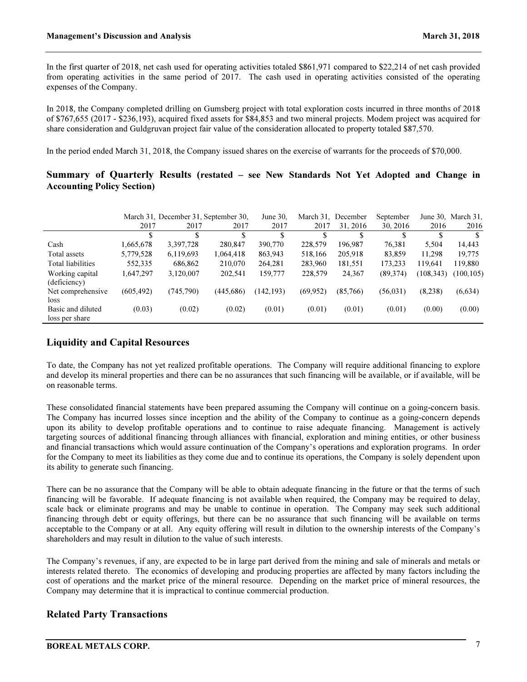In the first quarter of 2018, net cash used for operating activities totaled \$861,971 compared to \$22,214 of net cash provided from operating activities in the same period of 2017. The cash used in operating activities consisted of the operating expenses of the Company.

In 2018, the Company completed drilling on Gumsberg project with total exploration costs incurred in three months of 2018 of \$767,655 (2017 - \$236,193), acquired fixed assets for \$84,853 and two mineral projects. Modem project was acquired for share consideration and Guldgruvan project fair value of the consideration allocated to property totaled \$87,570.

In the period ended March 31, 2018, the Company issued shares on the exercise of warrants for the proceeds of \$70,000.

### Summary of Quarterly Results (restated – see New Standards Not Yet Adopted and Change in Accounting Policy Section)

|                                 |            | March 31, December 31, September 30, | June $30$ , | March 31,<br>December |          | September |           | June 30, March 31, |            |
|---------------------------------|------------|--------------------------------------|-------------|-----------------------|----------|-----------|-----------|--------------------|------------|
|                                 | 2017       | 2017                                 | 2017        | 2017                  | 2017     | 31, 2016  | 30, 2016  | 2016               | 2016       |
|                                 |            |                                      |             | \$                    |          |           |           |                    |            |
| Cash                            | 1,665,678  | 3,397,728                            | 280,847     | 390,770               | 228,579  | 196,987   | 76,381    | 5,504              | 14,443     |
| Total assets                    | 5,779,528  | 6,119,693                            | 1,064,418   | 863,943               | 518,166  | 205,918   | 83,859    | 11,298             | 19,775     |
| Total liabilities               | 552,335    | 686,862                              | 210,070     | 264,281               | 283,960  | 181,551   | 173.233   | 119.641            | 119,880    |
| Working capital<br>(deficiency) | 1,647,297  | 3,120,007                            | 202,541     | 159,777               | 228,579  | 24,367    | (89,374)  | (108, 343)         | (100, 105) |
| Net comprehensive               | (605, 492) | (745, 790)                           | (445, 686)  | (142, 193)            | (69.952) | (85,766)  | (56, 031) | (8.238)            | (6, 634)   |
| loss                            |            |                                      |             |                       |          |           |           |                    |            |
| Basic and diluted               | (0.03)     | (0.02)                               | (0.02)      | (0.01)                | (0.01)   | (0.01)    | (0.01)    | (0.00)             | (0.00)     |
| loss per share                  |            |                                      |             |                       |          |           |           |                    |            |

# Liquidity and Capital Resources

To date, the Company has not yet realized profitable operations. The Company will require additional financing to explore and develop its mineral properties and there can be no assurances that such financing will be available, or if available, will be on reasonable terms.

These consolidated financial statements have been prepared assuming the Company will continue on a going-concern basis. The Company has incurred losses since inception and the ability of the Company to continue as a going-concern depends upon its ability to develop profitable operations and to continue to raise adequate financing. Management is actively targeting sources of additional financing through alliances with financial, exploration and mining entities, or other business and financial transactions which would assure continuation of the Company's operations and exploration programs. In order for the Company to meet its liabilities as they come due and to continue its operations, the Company is solely dependent upon its ability to generate such financing.

There can be no assurance that the Company will be able to obtain adequate financing in the future or that the terms of such financing will be favorable. If adequate financing is not available when required, the Company may be required to delay, scale back or eliminate programs and may be unable to continue in operation. The Company may seek such additional financing through debt or equity offerings, but there can be no assurance that such financing will be available on terms acceptable to the Company or at all. Any equity offering will result in dilution to the ownership interests of the Company's shareholders and may result in dilution to the value of such interests.

The Company's revenues, if any, are expected to be in large part derived from the mining and sale of minerals and metals or interests related thereto. The economics of developing and producing properties are affected by many factors including the cost of operations and the market price of the mineral resource. Depending on the market price of mineral resources, the Company may determine that it is impractical to continue commercial production.

# Related Party Transactions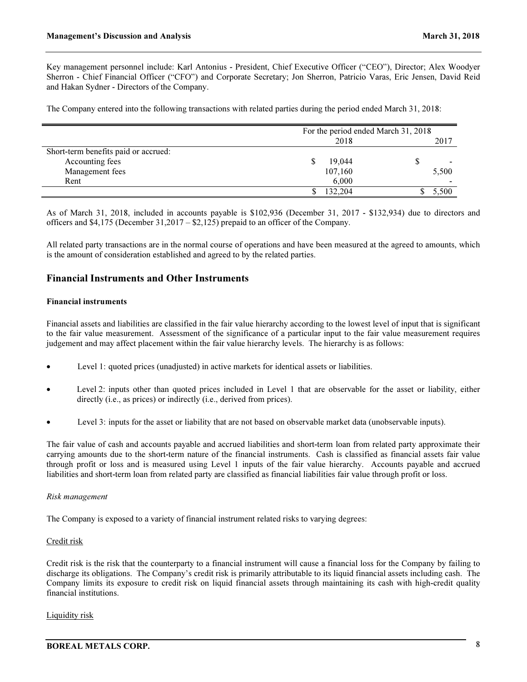Key management personnel include: Karl Antonius - President, Chief Executive Officer ("CEO"), Director; Alex Woodyer Sherron - Chief Financial Officer ("CFO") and Corporate Secretary; Jon Sherron, Patricio Varas, Eric Jensen, David Reid and Hakan Sydner - Directors of the Company.

The Company entered into the following transactions with related parties during the period ended March 31, 2018:

|                                      | For the period ended March 31, 2018 |       |  |  |  |
|--------------------------------------|-------------------------------------|-------|--|--|--|
|                                      | 2018                                | 2017  |  |  |  |
| Short-term benefits paid or accrued: |                                     |       |  |  |  |
| Accounting fees                      | 19,044<br>S                         |       |  |  |  |
| Management fees                      | 107,160                             | 5,500 |  |  |  |
| Rent                                 | 6,000                               |       |  |  |  |
|                                      | 132,204                             | 5.500 |  |  |  |

As of March 31, 2018, included in accounts payable is \$102,936 (December 31, 2017 - \$132,934) due to directors and officers and \$4,175 (December 31,2017 – \$2,125) prepaid to an officer of the Company.

All related party transactions are in the normal course of operations and have been measured at the agreed to amounts, which is the amount of consideration established and agreed to by the related parties.

### Financial Instruments and Other Instruments

#### Financial instruments

Financial assets and liabilities are classified in the fair value hierarchy according to the lowest level of input that is significant to the fair value measurement. Assessment of the significance of a particular input to the fair value measurement requires judgement and may affect placement within the fair value hierarchy levels. The hierarchy is as follows:

- Level 1: quoted prices (unadjusted) in active markets for identical assets or liabilities.
- Level 2: inputs other than quoted prices included in Level 1 that are observable for the asset or liability, either directly (i.e., as prices) or indirectly (i.e., derived from prices).
- Level 3: inputs for the asset or liability that are not based on observable market data (unobservable inputs).

The fair value of cash and accounts payable and accrued liabilities and short-term loan from related party approximate their carrying amounts due to the short-term nature of the financial instruments. Cash is classified as financial assets fair value through profit or loss and is measured using Level 1 inputs of the fair value hierarchy. Accounts payable and accrued liabilities and short-term loan from related party are classified as financial liabilities fair value through profit or loss.

#### Risk management

The Company is exposed to a variety of financial instrument related risks to varying degrees:

#### Credit risk

Credit risk is the risk that the counterparty to a financial instrument will cause a financial loss for the Company by failing to discharge its obligations. The Company's credit risk is primarily attributable to its liquid financial assets including cash. The Company limits its exposure to credit risk on liquid financial assets through maintaining its cash with high-credit quality financial institutions.

#### Liquidity risk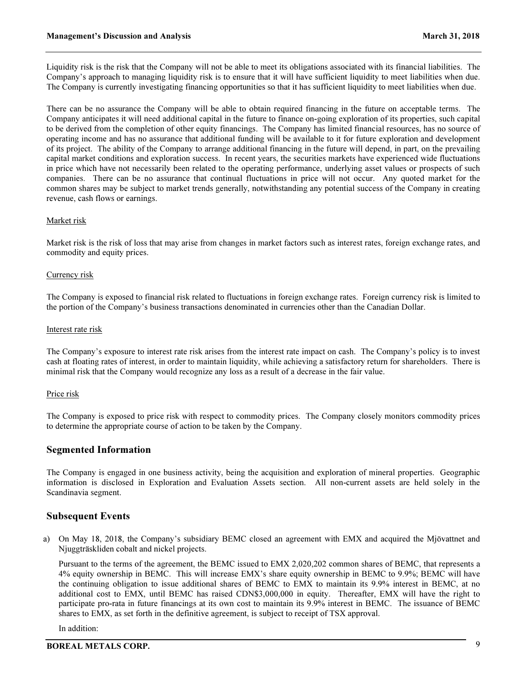Liquidity risk is the risk that the Company will not be able to meet its obligations associated with its financial liabilities. The Company's approach to managing liquidity risk is to ensure that it will have sufficient liquidity to meet liabilities when due. The Company is currently investigating financing opportunities so that it has sufficient liquidity to meet liabilities when due.

There can be no assurance the Company will be able to obtain required financing in the future on acceptable terms. The Company anticipates it will need additional capital in the future to finance on-going exploration of its properties, such capital to be derived from the completion of other equity financings. The Company has limited financial resources, has no source of operating income and has no assurance that additional funding will be available to it for future exploration and development of its project. The ability of the Company to arrange additional financing in the future will depend, in part, on the prevailing capital market conditions and exploration success. In recent years, the securities markets have experienced wide fluctuations in price which have not necessarily been related to the operating performance, underlying asset values or prospects of such companies. There can be no assurance that continual fluctuations in price will not occur. Any quoted market for the common shares may be subject to market trends generally, notwithstanding any potential success of the Company in creating revenue, cash flows or earnings.

#### Market risk

Market risk is the risk of loss that may arise from changes in market factors such as interest rates, foreign exchange rates, and commodity and equity prices.

#### Currency risk

The Company is exposed to financial risk related to fluctuations in foreign exchange rates. Foreign currency risk is limited to the portion of the Company's business transactions denominated in currencies other than the Canadian Dollar.

#### Interest rate risk

The Company's exposure to interest rate risk arises from the interest rate impact on cash. The Company's policy is to invest cash at floating rates of interest, in order to maintain liquidity, while achieving a satisfactory return for shareholders. There is minimal risk that the Company would recognize any loss as a result of a decrease in the fair value.

#### Price risk

The Company is exposed to price risk with respect to commodity prices. The Company closely monitors commodity prices to determine the appropriate course of action to be taken by the Company.

#### Segmented Information

The Company is engaged in one business activity, being the acquisition and exploration of mineral properties. Geographic information is disclosed in Exploration and Evaluation Assets section. All non-current assets are held solely in the Scandinavia segment.

### Subsequent Events

a) On May 18, 2018, the Company's subsidiary BEMC closed an agreement with EMX and acquired the Mjövattnet and Njuggträskliden cobalt and nickel projects.

Pursuant to the terms of the agreement, the BEMC issued to EMX 2,020,202 common shares of BEMC, that represents a 4% equity ownership in BEMC. This will increase EMX's share equity ownership in BEMC to 9.9%; BEMC will have the continuing obligation to issue additional shares of BEMC to EMX to maintain its 9.9% interest in BEMC, at no additional cost to EMX, until BEMC has raised CDN\$3,000,000 in equity. Thereafter, EMX will have the right to participate pro-rata in future financings at its own cost to maintain its 9.9% interest in BEMC. The issuance of BEMC shares to EMX, as set forth in the definitive agreement, is subject to receipt of TSX approval.

In addition: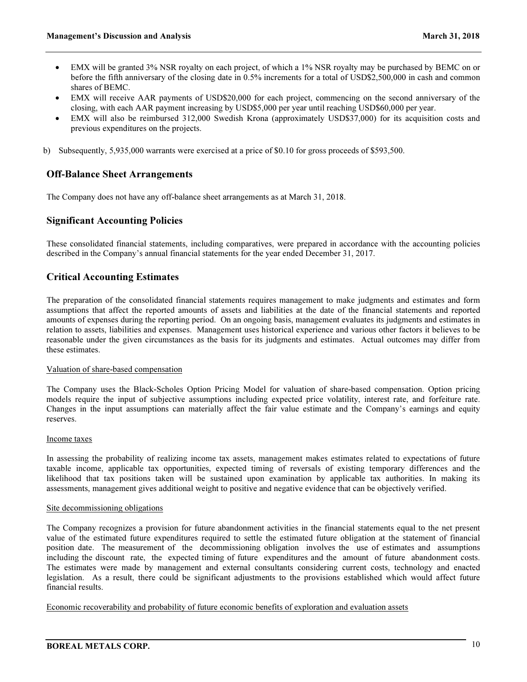- EMX will be granted 3% NSR royalty on each project, of which a 1% NSR royalty may be purchased by BEMC on or before the fifth anniversary of the closing date in 0.5% increments for a total of USD\$2,500,000 in cash and common shares of BEMC.
- EMX will receive AAR payments of USD\$20,000 for each project, commencing on the second anniversary of the closing, with each AAR payment increasing by USD\$5,000 per year until reaching USD\$60,000 per year.
- EMX will also be reimbursed 312,000 Swedish Krona (approximately USD\$37,000) for its acquisition costs and previous expenditures on the projects.
- b) Subsequently, 5,935,000 warrants were exercised at a price of \$0.10 for gross proceeds of \$593,500.

### Off-Balance Sheet Arrangements

The Company does not have any off-balance sheet arrangements as at March 31, 2018.

### Significant Accounting Policies

These consolidated financial statements, including comparatives, were prepared in accordance with the accounting policies described in the Company's annual financial statements for the year ended December 31, 2017.

### Critical Accounting Estimates

The preparation of the consolidated financial statements requires management to make judgments and estimates and form assumptions that affect the reported amounts of assets and liabilities at the date of the financial statements and reported amounts of expenses during the reporting period. On an ongoing basis, management evaluates its judgments and estimates in relation to assets, liabilities and expenses. Management uses historical experience and various other factors it believes to be reasonable under the given circumstances as the basis for its judgments and estimates. Actual outcomes may differ from these estimates.

#### Valuation of share-based compensation

The Company uses the Black-Scholes Option Pricing Model for valuation of share-based compensation. Option pricing models require the input of subjective assumptions including expected price volatility, interest rate, and forfeiture rate. Changes in the input assumptions can materially affect the fair value estimate and the Company's earnings and equity reserves.

#### Income taxes

In assessing the probability of realizing income tax assets, management makes estimates related to expectations of future taxable income, applicable tax opportunities, expected timing of reversals of existing temporary differences and the likelihood that tax positions taken will be sustained upon examination by applicable tax authorities. In making its assessments, management gives additional weight to positive and negative evidence that can be objectively verified.

#### Site decommissioning obligations

The Company recognizes a provision for future abandonment activities in the financial statements equal to the net present value of the estimated future expenditures required to settle the estimated future obligation at the statement of financial position date. The measurement of the decommissioning obligation involves the use of estimates and assumptions including the discount rate, the expected timing of future expenditures and the amount of future abandonment costs. The estimates were made by management and external consultants considering current costs, technology and enacted legislation. As a result, there could be significant adjustments to the provisions established which would affect future financial results.

Economic recoverability and probability of future economic benefits of exploration and evaluation assets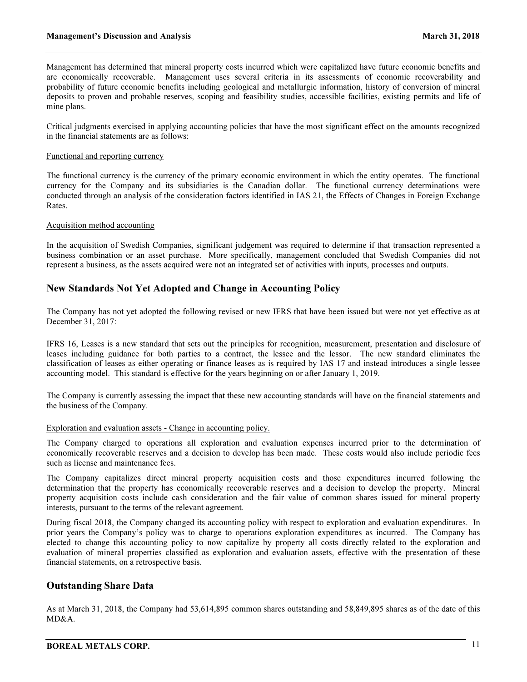Management has determined that mineral property costs incurred which were capitalized have future economic benefits and are economically recoverable. Management uses several criteria in its assessments of economic recoverability and probability of future economic benefits including geological and metallurgic information, history of conversion of mineral deposits to proven and probable reserves, scoping and feasibility studies, accessible facilities, existing permits and life of mine plans.

Critical judgments exercised in applying accounting policies that have the most significant effect on the amounts recognized in the financial statements are as follows:

#### Functional and reporting currency

The functional currency is the currency of the primary economic environment in which the entity operates. The functional currency for the Company and its subsidiaries is the Canadian dollar. The functional currency determinations were conducted through an analysis of the consideration factors identified in IAS 21, the Effects of Changes in Foreign Exchange Rates.

#### Acquisition method accounting

In the acquisition of Swedish Companies, significant judgement was required to determine if that transaction represented a business combination or an asset purchase. More specifically, management concluded that Swedish Companies did not represent a business, as the assets acquired were not an integrated set of activities with inputs, processes and outputs.

### New Standards Not Yet Adopted and Change in Accounting Policy

The Company has not yet adopted the following revised or new IFRS that have been issued but were not yet effective as at December 31, 2017:

IFRS 16, Leases is a new standard that sets out the principles for recognition, measurement, presentation and disclosure of leases including guidance for both parties to a contract, the lessee and the lessor. The new standard eliminates the classification of leases as either operating or finance leases as is required by IAS 17 and instead introduces a single lessee accounting model. This standard is effective for the years beginning on or after January 1, 2019.

The Company is currently assessing the impact that these new accounting standards will have on the financial statements and the business of the Company.

#### Exploration and evaluation assets - Change in accounting policy.

The Company charged to operations all exploration and evaluation expenses incurred prior to the determination of economically recoverable reserves and a decision to develop has been made. These costs would also include periodic fees such as license and maintenance fees.

The Company capitalizes direct mineral property acquisition costs and those expenditures incurred following the determination that the property has economically recoverable reserves and a decision to develop the property. Mineral property acquisition costs include cash consideration and the fair value of common shares issued for mineral property interests, pursuant to the terms of the relevant agreement.

During fiscal 2018, the Company changed its accounting policy with respect to exploration and evaluation expenditures. In prior years the Company's policy was to charge to operations exploration expenditures as incurred. The Company has elected to change this accounting policy to now capitalize by property all costs directly related to the exploration and evaluation of mineral properties classified as exploration and evaluation assets, effective with the presentation of these financial statements, on a retrospective basis.

### Outstanding Share Data

As at March 31, 2018, the Company had 53,614,895 common shares outstanding and 58,849,895 shares as of the date of this MD&A.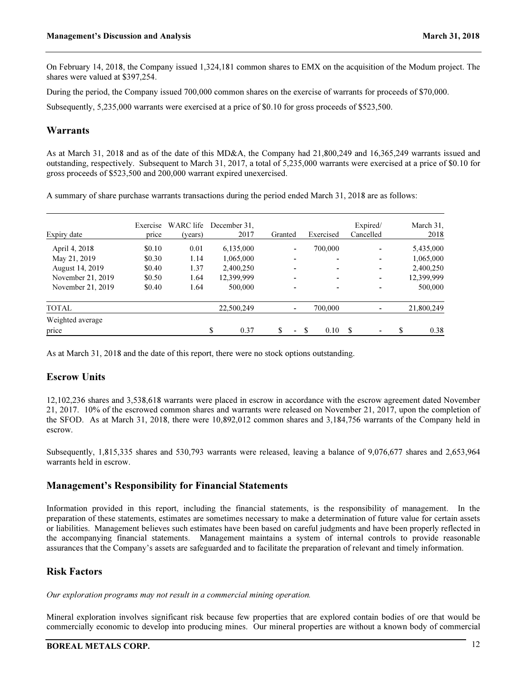On February 14, 2018, the Company issued 1,324,181 common shares to EMX on the acquisition of the Modum project. The shares were valued at \$397,254.

During the period, the Company issued 700,000 common shares on the exercise of warrants for proceeds of \$70,000.

Subsequently, 5,235,000 warrants were exercised at a price of \$0.10 for gross proceeds of \$523,500.

### Warrants

As at March 31, 2018 and as of the date of this MD&A, the Company had 21,800,249 and 16,365,249 warrants issued and outstanding, respectively. Subsequent to March 31, 2017, a total of 5,235,000 warrants were exercised at a price of \$0.10 for gross proceeds of \$523,500 and 200,000 warrant expired unexercised.

A summary of share purchase warrants transactions during the period ended March 31, 2018 are as follows:

| Expiry date            | Exercise<br>price | WARC life<br>(years) | December 31.<br>2017 | Granted                  | Exercised                | Expired/<br>Cancelled | March 31.<br>2018 |
|------------------------|-------------------|----------------------|----------------------|--------------------------|--------------------------|-----------------------|-------------------|
| April 4, 2018          | \$0.10            | 0.01                 | 6,135,000            | $\overline{\phantom{0}}$ | 700,000                  |                       | 5,435,000         |
| May 21, 2019           | \$0.30            | 1.14                 | 1,065,000            |                          | $\overline{\phantom{0}}$ |                       | 1,065,000         |
| <b>August 14, 2019</b> | \$0.40            | 1.37                 | 2,400,250            |                          | $\overline{\phantom{0}}$ |                       | 2,400,250         |
| November 21, 2019      | \$0.50            | 1.64                 | 12,399,999           | ۰                        | $\overline{\phantom{0}}$ |                       | 12,399,999        |
| November 21, 2019      | \$0.40            | 1.64                 | 500,000              | $\overline{\phantom{0}}$ | $\overline{\phantom{0}}$ |                       | 500,000           |
| <b>TOTAL</b>           |                   |                      | 22,500,249           | ٠                        | 700,000                  |                       | 21,800,249        |
| Weighted average       |                   |                      |                      |                          |                          |                       |                   |
| price                  |                   |                      | \$<br>0.37           | \$<br>۰                  | 0.10                     |                       | \$<br>0.38        |

As at March 31, 2018 and the date of this report, there were no stock options outstanding.

# Escrow Units

12,102,236 shares and 3,538,618 warrants were placed in escrow in accordance with the escrow agreement dated November 21, 2017. 10% of the escrowed common shares and warrants were released on November 21, 2017, upon the completion of the SFOD. As at March 31, 2018, there were 10,892,012 common shares and 3,184,756 warrants of the Company held in escrow.

Subsequently, 1,815,335 shares and 530,793 warrants were released, leaving a balance of 9,076,677 shares and 2,653,964 warrants held in escrow.

### Management's Responsibility for Financial Statements

Information provided in this report, including the financial statements, is the responsibility of management. In the preparation of these statements, estimates are sometimes necessary to make a determination of future value for certain assets or liabilities. Management believes such estimates have been based on careful judgments and have been properly reflected in the accompanying financial statements. Management maintains a system of internal controls to provide reasonable assurances that the Company's assets are safeguarded and to facilitate the preparation of relevant and timely information.

# Risk Factors

Our exploration programs may not result in a commercial mining operation.

Mineral exploration involves significant risk because few properties that are explored contain bodies of ore that would be commercially economic to develop into producing mines. Our mineral properties are without a known body of commercial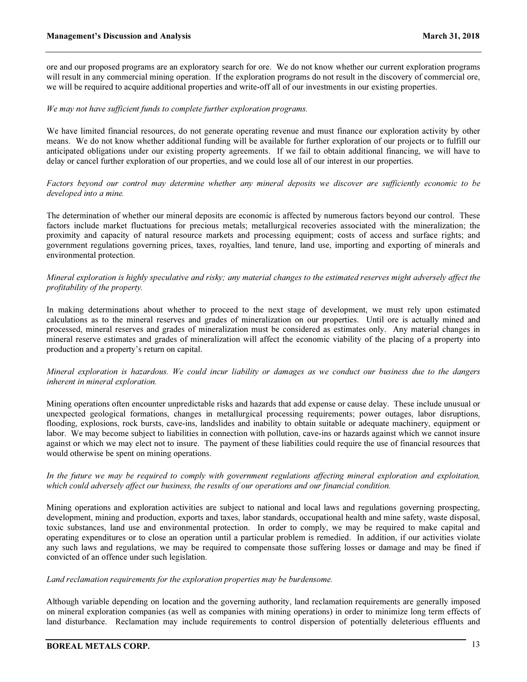ore and our proposed programs are an exploratory search for ore. We do not know whether our current exploration programs will result in any commercial mining operation. If the exploration programs do not result in the discovery of commercial ore, we will be required to acquire additional properties and write-off all of our investments in our existing properties.

#### We may not have sufficient funds to complete further exploration programs.

We have limited financial resources, do not generate operating revenue and must finance our exploration activity by other means. We do not know whether additional funding will be available for further exploration of our projects or to fulfill our anticipated obligations under our existing property agreements. If we fail to obtain additional financing, we will have to delay or cancel further exploration of our properties, and we could lose all of our interest in our properties.

Factors beyond our control may determine whether any mineral deposits we discover are sufficiently economic to be developed into a mine.

The determination of whether our mineral deposits are economic is affected by numerous factors beyond our control. These factors include market fluctuations for precious metals; metallurgical recoveries associated with the mineralization; the proximity and capacity of natural resource markets and processing equipment; costs of access and surface rights; and government regulations governing prices, taxes, royalties, land tenure, land use, importing and exporting of minerals and environmental protection.

#### Mineral exploration is highly speculative and risky; any material changes to the estimated reserves might adversely affect the profitability of the property.

In making determinations about whether to proceed to the next stage of development, we must rely upon estimated calculations as to the mineral reserves and grades of mineralization on our properties. Until ore is actually mined and processed, mineral reserves and grades of mineralization must be considered as estimates only. Any material changes in mineral reserve estimates and grades of mineralization will affect the economic viability of the placing of a property into production and a property's return on capital.

#### Mineral exploration is hazardous. We could incur liability or damages as we conduct our business due to the dangers inherent in mineral exploration.

Mining operations often encounter unpredictable risks and hazards that add expense or cause delay. These include unusual or unexpected geological formations, changes in metallurgical processing requirements; power outages, labor disruptions, flooding, explosions, rock bursts, cave-ins, landslides and inability to obtain suitable or adequate machinery, equipment or labor. We may become subject to liabilities in connection with pollution, cave-ins or hazards against which we cannot insure against or which we may elect not to insure. The payment of these liabilities could require the use of financial resources that would otherwise be spent on mining operations.

#### In the future we may be required to comply with government regulations affecting mineral exploration and exploitation, which could adversely affect our business, the results of our operations and our financial condition.

Mining operations and exploration activities are subject to national and local laws and regulations governing prospecting, development, mining and production, exports and taxes, labor standards, occupational health and mine safety, waste disposal, toxic substances, land use and environmental protection. In order to comply, we may be required to make capital and operating expenditures or to close an operation until a particular problem is remedied. In addition, if our activities violate any such laws and regulations, we may be required to compensate those suffering losses or damage and may be fined if convicted of an offence under such legislation.

#### Land reclamation requirements for the exploration properties may be burdensome.

Although variable depending on location and the governing authority, land reclamation requirements are generally imposed on mineral exploration companies (as well as companies with mining operations) in order to minimize long term effects of land disturbance. Reclamation may include requirements to control dispersion of potentially deleterious effluents and